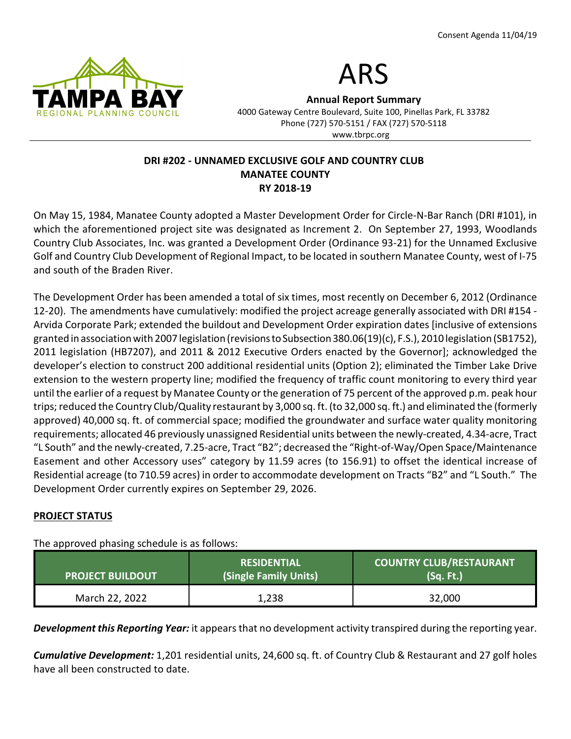



Annual Report Summary 4000 Gateway Centre Boulevard, Suite 100, Pinellas Park, FL 33782 Phone (727) 570-5151 / FAX (727) 570-5118 www.tbrpc.org

## DRI #202 - UNNAMED EXCLUSIVE GOLF AND COUNTRY CLUB MANATEE COUNTY RY 2018-19

On May 15, 1984, Manatee County adopted a Master Development Order for Circle-N-Bar Ranch (DRI #101), in which the aforementioned project site was designated as Increment 2. On September 27, 1993, Woodlands Country Club Associates, Inc. was granted a Development Order (Ordinance 93-21) for the Unnamed Exclusive Golf and Country Club Development of Regional Impact, to be located in southern Manatee County, west of I-75 and south of the Braden River.

The Development Order has been amended a total of six times, most recently on December 6, 2012 (Ordinance 12-20). The amendments have cumulatively: modified the project acreage generally associated with DRI #154 - Arvida Corporate Park; extended the buildout and Development Order expiration dates [inclusive of extensions granted in association with 2007 legislation (revisions to Subsection 380.06(19)(c), F.S.), 2010 legislation (SB1752), 2011 legislation (HB7207), and 2011 & 2012 Executive Orders enacted by the Governor]; acknowledged the developer's election to construct 200 additional residential units (Option 2); eliminated the Timber Lake Drive extension to the western property line; modified the frequency of traffic count monitoring to every third year until the earlier of a request by Manatee County or the generation of 75 percent of the approved p.m. peak hour trips; reduced the Country Club/Quality restaurant by 3,000 sq. ft. (to 32,000 sq. ft.) and eliminated the (formerly approved) 40,000 sq. ft. of commercial space; modified the groundwater and surface water quality monitoring requirements; allocated 46 previously unassigned Residential units between the newly-created, 4.34-acre, Tract "L South" and the newly-created, 7.25-acre, Tract "B2"; decreased the "Right-of-Way/Open Space/Maintenance Easement and other Accessory uses" category by 11.59 acres (to 156.91) to offset the identical increase of Residential acreage (to 710.59 acres) in order to accommodate development on Tracts "B2" and "L South." The Development Order currently expires on September 29, 2026.

## PROJECT STATUS

The approved phasing schedule is as follows:

| <b>PROJECT BUILDOUT</b> | <b>RESIDENTIAL</b><br>(Single Family Units) | <b>COUNTRY CLUB/RESTAURANT</b><br>(Sq. Ft.) |
|-------------------------|---------------------------------------------|---------------------------------------------|
| March 22, 2022          | 1,238                                       | 32,000                                      |

**Development this Reporting Year:** it appears that no development activity transpired during the reporting year.

**Cumulative Development:** 1,201 residential units, 24,600 sq. ft. of Country Club & Restaurant and 27 golf holes have all been constructed to date.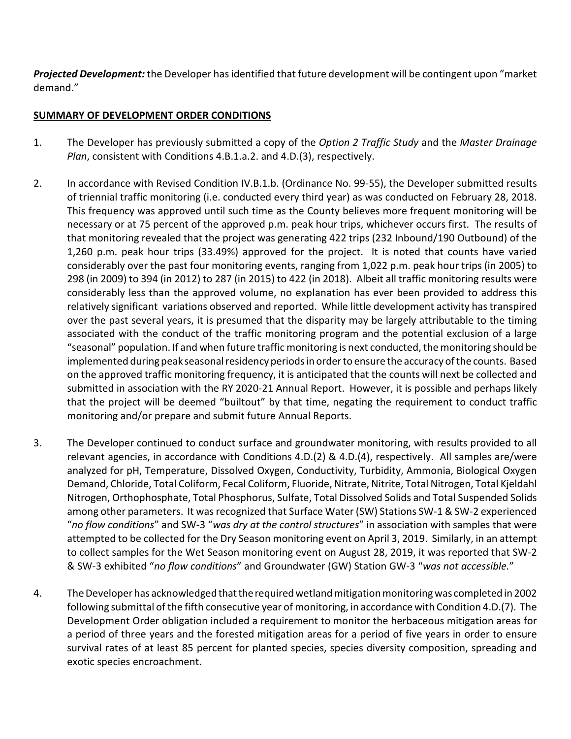Projected Development: the Developer has identified that future development will be contingent upon "market demand."

# SUMMARY OF DEVELOPMENT ORDER CONDITIONS

- 1. The Developer has previously submitted a copy of the Option 2 Traffic Study and the Master Drainage Plan, consistent with Conditions 4.B.1.a.2. and 4.D.(3), respectively.
- 2. In accordance with Revised Condition IV.B.1.b. (Ordinance No. 99-55), the Developer submitted results of triennial traffic monitoring (i.e. conducted every third year) as was conducted on February 28, 2018. This frequency was approved until such time as the County believes more frequent monitoring will be necessary or at 75 percent of the approved p.m. peak hour trips, whichever occurs first. The results of that monitoring revealed that the project was generating 422 trips (232 Inbound/190 Outbound) of the 1,260 p.m. peak hour trips (33.49%) approved for the project. It is noted that counts have varied considerably over the past four monitoring events, ranging from 1,022 p.m. peak hour trips (in 2005) to 298 (in 2009) to 394 (in 2012) to 287 (in 2015) to 422 (in 2018). Albeit all traffic monitoring results were considerably less than the approved volume, no explanation has ever been provided to address this relatively significant variations observed and reported. While little development activity has transpired over the past several years, it is presumed that the disparity may be largely attributable to the timing associated with the conduct of the traffic monitoring program and the potential exclusion of a large "seasonal" population. If and when future traffic monitoring is next conducted, the monitoring should be implemented during peak seasonal residency periods in order to ensure the accuracy of the counts. Based on the approved traffic monitoring frequency, it is anticipated that the counts will next be collected and submitted in association with the RY 2020-21 Annual Report. However, it is possible and perhaps likely that the project will be deemed "builtout" by that time, negating the requirement to conduct traffic monitoring and/or prepare and submit future Annual Reports.
- 3. The Developer continued to conduct surface and groundwater monitoring, with results provided to all relevant agencies, in accordance with Conditions 4.D.(2) & 4.D.(4), respectively. All samples are/were analyzed for pH, Temperature, Dissolved Oxygen, Conductivity, Turbidity, Ammonia, Biological Oxygen Demand, Chloride, Total Coliform, Fecal Coliform, Fluoride, Nitrate, Nitrite, Total Nitrogen, Total Kjeldahl Nitrogen, Orthophosphate, Total Phosphorus, Sulfate, Total Dissolved Solids and Total Suspended Solids among other parameters. It was recognized that Surface Water (SW) Stations SW-1 & SW-2 experienced "no flow conditions" and SW-3 "was dry at the control structures" in association with samples that were attempted to be collected for the Dry Season monitoring event on April 3, 2019. Similarly, in an attempt to collect samples for the Wet Season monitoring event on August 28, 2019, it was reported that SW-2 & SW-3 exhibited "no flow conditions" and Groundwater (GW) Station GW-3 "was not accessible."
- 4. The Developer has acknowledged that the required wetland mitigation monitoring was completed in 2002 following submittal of the fifth consecutive year of monitoring, in accordance with Condition 4.D.(7). The Development Order obligation included a requirement to monitor the herbaceous mitigation areas for a period of three years and the forested mitigation areas for a period of five years in order to ensure survival rates of at least 85 percent for planted species, species diversity composition, spreading and exotic species encroachment.